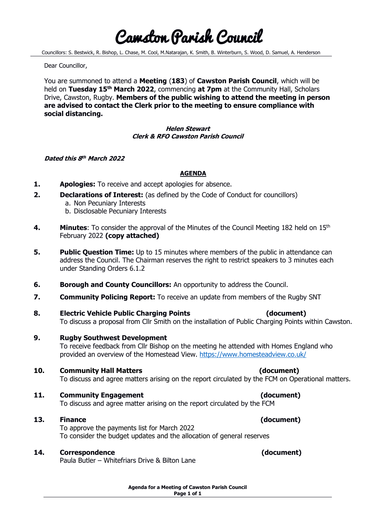# Cawston Parish Council

Councillors: S. Bestwick, R. Bishop, L. Chase, M. Cool, M.Natarajan, K. Smith, B. Winterburn, S. Wood, D. Samuel, A. Henderson

Dear Councillor,

You are summoned to attend a **Meeting** (**183**) of **Cawston Parish Council**, which will be held on Tuesday 15<sup>th</sup> March 2022, commencing at 7pm at the Community Hall, Scholars Drive, Cawston, Rugby. **Members of the public wishing to attend the meeting in person are advised to contact the Clerk prior to the meeting to ensure compliance with social distancing.**

#### **Helen Stewart Clerk & RFO Cawston Parish Council**

#### **Dated this 8 th March 2022**

### **AGENDA**

- **1. Apologies:** To receive and accept apologies for absence.
- **2. Declarations of Interest:** (as defined by the Code of Conduct for councillors)
	- a. Non Pecuniary Interests
	- b. Disclosable Pecuniary Interests
- 4. **Minutes:** To consider the approval of the Minutes of the Council Meeting 182 held on 15<sup>th</sup> February 2022 **(copy attached)**
- **5. Public Question Time:** Up to 15 minutes where members of the public in attendance can address the Council. The Chairman reserves the right to restrict speakers to 3 minutes each under Standing Orders 6.1.2
- **6. Borough and County Councillors:** An opportunity to address the Council.
- **7. Community Policing Report:** To receive an update from members of the Rugby SNT
- **8. Electric Vehicle Public Charging Points (document)** To discuss a proposal from Cllr Smith on the installation of Public Charging Points within Cawston.
- **9. Rugby Southwest Development** To receive feedback from Cllr Bishop on the meeting he attended with Homes England who provided an overview of the Homestead View.<https://www.homesteadview.co.uk/>

# **10. Community Hall Matters (document)**

To discuss and agree matters arising on the report circulated by the FCM on Operational matters.

**11. Community Engagement (document)**

To discuss and agree matter arising on the report circulated by the FCM

# **13. Finance (document)**

To approve the payments list for March 2022 To consider the budget updates and the allocation of general reserves

# **14. Correspondence (document)**

Paula Butler – Whitefriars Drive & Bilton Lane

**Agenda for a Meeting of Cawston Parish Council Page 1 of 1**